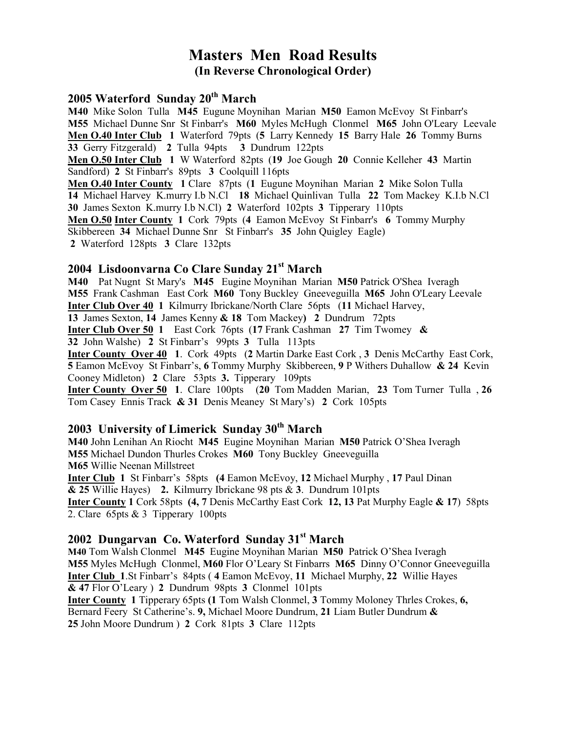# Masters Men Road Results (In Reverse Chronological Order)

### 2005 Waterford Sunday 20<sup>th</sup> March

M40 Mike Solon Tulla M45 Eugune Moynihan Marian M50 Eamon McEvoy St Finbarr's M55 Michael Dunne Snr St Finbarr's M60 Myles McHugh Clonmel M65 John O'Leary Leevale Men O.40 Inter Club 1 Waterford 79pts (5 Larry Kennedy 15 Barry Hale 26 Tommy Burns 33 Gerry Fitzgerald) 2 Tulla 94pts 3 Dundrum 122pts Men O.50 Inter Club 1 W Waterford 82pts (19 Joe Gough 20 Connie Kelleher 43 Martin Sandford) 2 St Finbarr's 89pts 3 Coolquill 116pts Men O.40 Inter County 1 Clare 87pts (1 Eugune Moynihan Marian 2 Mike Solon Tulla 14 Michael Harvey K.murry I.b N.Cl 18 Michael Quinlivan Tulla 22 Tom Mackey K.I.b N.Cl 30 James Sexton K.murry I.b N.Cl) 2 Waterford 102pts 3 Tipperary 110pts Men O.50 Inter County 1 Cork 79pts (4 Eamon McEvoy St Finbarr's 6 Tommy Murphy Skibbereen 34 Michael Dunne Snr St Finbarr's 35 John Quigley Eagle)

2 Waterford 128pts 3 Clare 132pts

### 2004 Lisdoonvarna Co Clare Sunday 21st March

M40 Pat Nugnt St Mary's M45 Eugine Moynihan Marian M50 Patrick O'Shea Iveragh M55 Frank Cashman East Cork M60 Tony Buckley Gneeveguilla M65 John O'Leary Leevale Inter Club Over 40 1 Kilmurry Ibrickane/North Clare 56pts (11 Michael Harvey, 13 James Sexton, 14 James Kenny & 18 Tom Mackey) 2 Dundrum 72pts

Inter Club Over 50 1 East Cork 76pts (17 Frank Cashman 27 Tim Twomey &

32 John Walshe) 2 St Finbarr's 99pts 3 Tulla 113pts

Inter County Over 40 1. Cork 49pts (2 Martin Darke East Cork , 3 Denis McCarthy East Cork, 5 Eamon McEvoy St Finbarr's, 6 Tommy Murphy Skibbereen, 9 P Withers Duhallow & 24 Kevin Cooney Midleton) 2 Clare 53pts 3. Tipperary 109pts

Inter County Over 50 1. Clare 100pts (20 Tom Madden Marian, 23 Tom Turner Tulla, 26 Tom Casey Ennis Track & 31 Denis Meaney St Mary's) 2 Cork 105pts

## 2003 University of Limerick Sunday 30<sup>th</sup> March

M40 John Lenihan An Riocht M45 Eugine Moynihan Marian M50 Patrick O'Shea Iveragh M55 Michael Dundon Thurles Crokes M60 Tony Buckley Gneeveguilla M65 Willie Neenan Millstreet

Inter Club 1 St Finbarr's 58pts (4 Eamon McEvoy, 12 Michael Murphy , 17 Paul Dinan  $& 25$  Willie Hayes) 2. Kilmurry Ibrickane 98 pts  $& 3$ . Dundrum 101 pts Inter County 1 Cork 58pts (4, 7 Denis McCarthy East Cork 12, 13 Pat Murphy Eagle & 17) 58pts 2. Clare 65pts & 3 Tipperary 100pts

#### 2002 Dungarvan Co. Waterford Sunday 31<sup>st</sup> March

M40 Tom Walsh Clonmel M45 Eugine Moynihan Marian M50 Patrick O'Shea Iveragh M55 Myles McHugh Clonmel, M60 Flor O'Leary St Finbarrs M65 Dinny O'Connor Gneeveguilla Inter Club 1.St Finbarr's 84pts ( 4 Eamon McEvoy, 11 Michael Murphy, 22 Willie Hayes & 47 Flor O'Leary ) 2 Dundrum 98pts 3 Clonmel 101pts

Inter County 1 Tipperary 65pts (1 Tom Walsh Clonmel, 3 Tommy Moloney Thrles Crokes, 6, Bernard Feery St Catherine's. 9, Michael Moore Dundrum, 21 Liam Butler Dundrum & 25 John Moore Dundrum ) 2 Cork 81pts 3 Clare 112pts